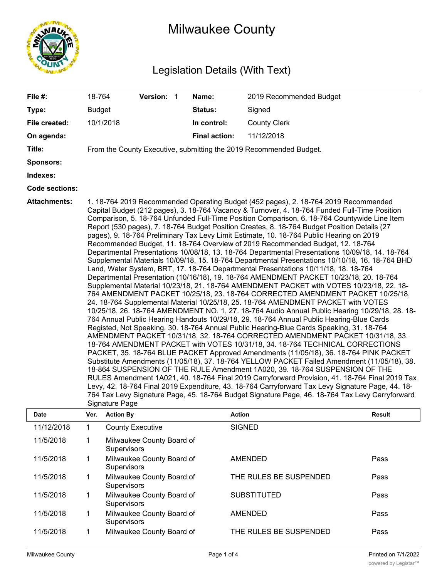

# Milwaukee County

## Legislation Details (With Text)

| File #:                     | 18-764                          | Version: 1 |  | Name:                | 2019 Recommended Budget                                                                                                                                                                                                                                                                                                                                                                                                                                                                                                                                                                                                                                                                                                                                                                                                                                                                                                                                                                                                                                                                                                                                                                                                                                                                                                                                                                                                                                                                                                                                                                                                                                                                                                                                                                                                                                                                                                                                                                                                                                                                                                                                                                                                                                                              |  |
|-----------------------------|---------------------------------|------------|--|----------------------|--------------------------------------------------------------------------------------------------------------------------------------------------------------------------------------------------------------------------------------------------------------------------------------------------------------------------------------------------------------------------------------------------------------------------------------------------------------------------------------------------------------------------------------------------------------------------------------------------------------------------------------------------------------------------------------------------------------------------------------------------------------------------------------------------------------------------------------------------------------------------------------------------------------------------------------------------------------------------------------------------------------------------------------------------------------------------------------------------------------------------------------------------------------------------------------------------------------------------------------------------------------------------------------------------------------------------------------------------------------------------------------------------------------------------------------------------------------------------------------------------------------------------------------------------------------------------------------------------------------------------------------------------------------------------------------------------------------------------------------------------------------------------------------------------------------------------------------------------------------------------------------------------------------------------------------------------------------------------------------------------------------------------------------------------------------------------------------------------------------------------------------------------------------------------------------------------------------------------------------------------------------------------------------|--|
| Type:                       | <b>Budget</b>                   |            |  | <b>Status:</b>       | Signed                                                                                                                                                                                                                                                                                                                                                                                                                                                                                                                                                                                                                                                                                                                                                                                                                                                                                                                                                                                                                                                                                                                                                                                                                                                                                                                                                                                                                                                                                                                                                                                                                                                                                                                                                                                                                                                                                                                                                                                                                                                                                                                                                                                                                                                                               |  |
| File created:               | 10/1/2018                       |            |  | In control:          | <b>County Clerk</b>                                                                                                                                                                                                                                                                                                                                                                                                                                                                                                                                                                                                                                                                                                                                                                                                                                                                                                                                                                                                                                                                                                                                                                                                                                                                                                                                                                                                                                                                                                                                                                                                                                                                                                                                                                                                                                                                                                                                                                                                                                                                                                                                                                                                                                                                  |  |
| On agenda:                  |                                 |            |  | <b>Final action:</b> | 11/12/2018                                                                                                                                                                                                                                                                                                                                                                                                                                                                                                                                                                                                                                                                                                                                                                                                                                                                                                                                                                                                                                                                                                                                                                                                                                                                                                                                                                                                                                                                                                                                                                                                                                                                                                                                                                                                                                                                                                                                                                                                                                                                                                                                                                                                                                                                           |  |
| Title:                      |                                 |            |  |                      | From the County Executive, submitting the 2019 Recommended Budget.                                                                                                                                                                                                                                                                                                                                                                                                                                                                                                                                                                                                                                                                                                                                                                                                                                                                                                                                                                                                                                                                                                                                                                                                                                                                                                                                                                                                                                                                                                                                                                                                                                                                                                                                                                                                                                                                                                                                                                                                                                                                                                                                                                                                                   |  |
| Sponsors:                   |                                 |            |  |                      |                                                                                                                                                                                                                                                                                                                                                                                                                                                                                                                                                                                                                                                                                                                                                                                                                                                                                                                                                                                                                                                                                                                                                                                                                                                                                                                                                                                                                                                                                                                                                                                                                                                                                                                                                                                                                                                                                                                                                                                                                                                                                                                                                                                                                                                                                      |  |
| Indexes:                    |                                 |            |  |                      |                                                                                                                                                                                                                                                                                                                                                                                                                                                                                                                                                                                                                                                                                                                                                                                                                                                                                                                                                                                                                                                                                                                                                                                                                                                                                                                                                                                                                                                                                                                                                                                                                                                                                                                                                                                                                                                                                                                                                                                                                                                                                                                                                                                                                                                                                      |  |
| <b>Code sections:</b>       |                                 |            |  |                      |                                                                                                                                                                                                                                                                                                                                                                                                                                                                                                                                                                                                                                                                                                                                                                                                                                                                                                                                                                                                                                                                                                                                                                                                                                                                                                                                                                                                                                                                                                                                                                                                                                                                                                                                                                                                                                                                                                                                                                                                                                                                                                                                                                                                                                                                                      |  |
| <b>Attachments:</b><br>Dato | Signature Page<br>Var Action Ry |            |  | Action               | 1. 18-764 2019 Recommended Operating Budget (452 pages), 2. 18-764 2019 Recommended<br>Capital Budget (212 pages), 3. 18-764 Vacancy & Turnover, 4. 18-764 Funded Full-Time Position<br>Comparison, 5. 18-764 Unfunded Full-Time Position Comparison, 6. 18-764 Countywide Line Item<br>Report (530 pages), 7. 18-764 Budget Position Creates, 8. 18-764 Budget Position Details (27<br>pages), 9. 18-764 Preliminary Tax Levy Limit Estimate, 10. 18-764 Public Hearing on 2019<br>Recommended Budget, 11. 18-764 Overview of 2019 Recommended Budget, 12. 18-764<br>Departmental Presentations 10/08/18, 13. 18-764 Departmental Presentations 10/09/18, 14. 18-764<br>Supplemental Materials 10/09/18, 15. 18-764 Departmental Presentations 10/10/18, 16. 18-764 BHD<br>Land, Water System, BRT, 17. 18-764 Departmental Presentations 10/11/18, 18. 18-764<br>Departmental Presentation (10/16/18), 19. 18-764 AMENDMENT PACKET 10/23/18, 20. 18-764<br>Supplemental Material 10/23/18, 21. 18-764 AMENDMENT PACKET with VOTES 10/23/18, 22. 18-<br>764 AMENDMENT PACKET 10/25/18, 23. 18-764 CORRECTED AMENDMENT PACKET 10/25/18,<br>24. 18-764 Supplemental Material 10/25/18, 25. 18-764 AMENDMENT PACKET with VOTES<br>10/25/18, 26. 18-764 AMENDMENT NO. 1, 27. 18-764 Audio Annual Public Hearing 10/29/18, 28. 18-<br>764 Annual Public Hearing Handouts 10/29/18, 29. 18-764 Annual Public Hearing-Blue Cards<br>Registed, Not Speaking, 30. 18-764 Annual Public Hearing-Blue Cards Speaking, 31. 18-764<br>AMENDMENT PACKET 10/31/18, 32. 18-764 CORRECTED AMENDMENT PACKET 10/31/18, 33.<br>18-764 AMENDMENT PACKET with VOTES 10/31/18, 34. 18-764 TECHNICAL CORRECTIONS<br>PACKET, 35. 18-764 BLUE PACKET Approved Amendments (11/05/18), 36. 18-764 PINK PACKET<br>Substitute Amendments (11/05/18), 37. 18-764 YELLOW PACKET Failed Amendment (11/05/18), 38.<br>18-864 SUSPENSION OF THE RULE Amendment 1A020, 39. 18-764 SUSPENSION OF THE<br>RULES Amendment 1A021, 40. 18-764 Final 2019 Carryforward Provision, 41. 18-764 Final 2019 Tax<br>Levy, 42. 18-764 Final 2019 Expenditure, 43. 18-764 Carryforward Tax Levy Signature Page, 44. 18-<br>764 Tax Levy Signature Page, 45. 18-764 Budget Signature Page, 46. 18-764 Tax Levy Carryforward<br>Poeult |  |

| <b>Date</b> | Ver. | <b>Action By</b>                                | <b>Action</b>          | <b>Result</b> |
|-------------|------|-------------------------------------------------|------------------------|---------------|
| 11/12/2018  |      | <b>County Executive</b>                         | <b>SIGNED</b>          |               |
| 11/5/2018   |      | Milwaukee County Board of<br><b>Supervisors</b> |                        |               |
| 11/5/2018   |      | Milwaukee County Board of<br><b>Supervisors</b> | <b>AMENDED</b>         | Pass          |
| 11/5/2018   |      | Milwaukee County Board of<br><b>Supervisors</b> | THE RULES BE SUSPENDED | Pass          |
| 11/5/2018   |      | Milwaukee County Board of<br><b>Supervisors</b> | <b>SUBSTITUTED</b>     | Pass          |
| 11/5/2018   |      | Milwaukee County Board of<br><b>Supervisors</b> | <b>AMENDED</b>         | Pass          |
| 11/5/2018   |      | Milwaukee County Board of                       | THE RULES BE SUSPENDED | Pass          |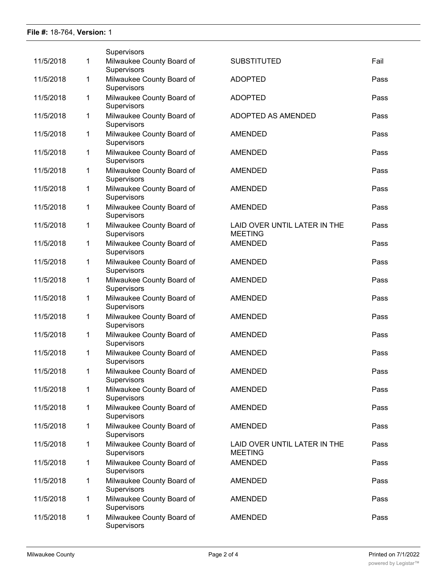### **File #:** 18-764, **Version:** 1

|           |              | Supervisors                              |                                                |      |
|-----------|--------------|------------------------------------------|------------------------------------------------|------|
| 11/5/2018 | 1            | Milwaukee County Board of<br>Supervisors | <b>SUBSTITUTED</b>                             | Fail |
| 11/5/2018 | 1            | Milwaukee County Board of<br>Supervisors | <b>ADOPTED</b>                                 | Pass |
| 11/5/2018 | 1            | Milwaukee County Board of<br>Supervisors | <b>ADOPTED</b>                                 | Pass |
| 11/5/2018 | 1            | Milwaukee County Board of<br>Supervisors | ADOPTED AS AMENDED                             | Pass |
| 11/5/2018 | 1            | Milwaukee County Board of<br>Supervisors | <b>AMENDED</b>                                 | Pass |
| 11/5/2018 | $\mathbf{1}$ | Milwaukee County Board of<br>Supervisors | <b>AMENDED</b>                                 | Pass |
| 11/5/2018 | 1            | Milwaukee County Board of<br>Supervisors | <b>AMENDED</b>                                 | Pass |
| 11/5/2018 | 1            | Milwaukee County Board of<br>Supervisors | <b>AMENDED</b>                                 | Pass |
| 11/5/2018 | 1            | Milwaukee County Board of<br>Supervisors | <b>AMENDED</b>                                 | Pass |
| 11/5/2018 | 1            | Milwaukee County Board of<br>Supervisors | LAID OVER UNTIL LATER IN THE<br><b>MEETING</b> | Pass |
| 11/5/2018 | 1            | Milwaukee County Board of<br>Supervisors | <b>AMENDED</b>                                 | Pass |
| 11/5/2018 | 1            | Milwaukee County Board of<br>Supervisors | <b>AMENDED</b>                                 | Pass |
| 11/5/2018 | 1            | Milwaukee County Board of<br>Supervisors | <b>AMENDED</b>                                 | Pass |
| 11/5/2018 | 1            | Milwaukee County Board of<br>Supervisors | <b>AMENDED</b>                                 | Pass |
| 11/5/2018 | 1            | Milwaukee County Board of<br>Supervisors | <b>AMENDED</b>                                 | Pass |
| 11/5/2018 | 1            | Milwaukee County Board of<br>Supervisors | <b>AMENDED</b>                                 | Pass |
| 11/5/2018 | 1            | Milwaukee County Board of<br>Supervisors | <b>AMENDED</b>                                 | Pass |
| 11/5/2018 | 1            | Milwaukee County Board of<br>Supervisors | <b>AMENDED</b>                                 | Pass |
| 11/5/2018 | 1            | Milwaukee County Board of<br>Supervisors | <b>AMENDED</b>                                 | Pass |
| 11/5/2018 | 1            | Milwaukee County Board of<br>Supervisors | <b>AMENDED</b>                                 | Pass |
| 11/5/2018 | 1            | Milwaukee County Board of<br>Supervisors | <b>AMENDED</b>                                 | Pass |
| 11/5/2018 | 1            | Milwaukee County Board of<br>Supervisors | LAID OVER UNTIL LATER IN THE<br><b>MEETING</b> | Pass |
| 11/5/2018 | 1            | Milwaukee County Board of<br>Supervisors | <b>AMENDED</b>                                 | Pass |
| 11/5/2018 | 1            | Milwaukee County Board of<br>Supervisors | <b>AMENDED</b>                                 | Pass |
| 11/5/2018 | 1            | Milwaukee County Board of<br>Supervisors | <b>AMENDED</b>                                 | Pass |
| 11/5/2018 | $\mathbf{1}$ | Milwaukee County Board of<br>Supervisors | <b>AMENDED</b>                                 | Pass |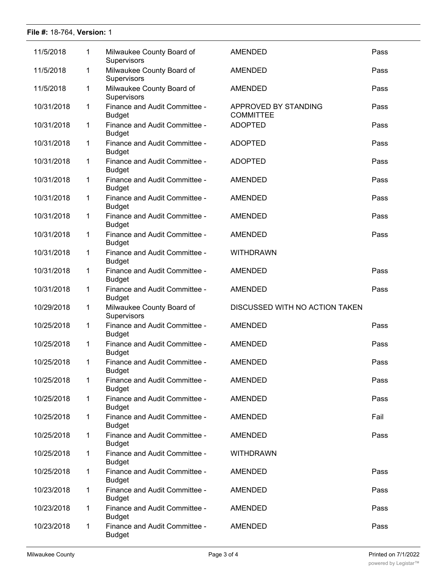### **File #:** 18-764, **Version:** 1

| 11/5/2018  | 1           | Milwaukee County Board of                               | <b>AMENDED</b>                           | Pass |
|------------|-------------|---------------------------------------------------------|------------------------------------------|------|
| 11/5/2018  | 1           | Supervisors<br>Milwaukee County Board of<br>Supervisors | <b>AMENDED</b>                           | Pass |
| 11/5/2018  | 1           | Milwaukee County Board of<br>Supervisors                | <b>AMENDED</b>                           | Pass |
| 10/31/2018 | 1           | Finance and Audit Committee -<br><b>Budget</b>          | APPROVED BY STANDING<br><b>COMMITTEE</b> | Pass |
| 10/31/2018 | 1           | Finance and Audit Committee -<br><b>Budget</b>          | <b>ADOPTED</b>                           | Pass |
| 10/31/2018 | $\mathbf 1$ | Finance and Audit Committee -<br><b>Budget</b>          | <b>ADOPTED</b>                           | Pass |
| 10/31/2018 | $\mathbf 1$ | Finance and Audit Committee -<br><b>Budget</b>          | <b>ADOPTED</b>                           | Pass |
| 10/31/2018 | 1           | Finance and Audit Committee -<br><b>Budget</b>          | <b>AMENDED</b>                           | Pass |
| 10/31/2018 | 1           | Finance and Audit Committee -<br><b>Budget</b>          | AMENDED                                  | Pass |
| 10/31/2018 | 1           | Finance and Audit Committee -<br><b>Budget</b>          | <b>AMENDED</b>                           | Pass |
| 10/31/2018 | 1           | Finance and Audit Committee -<br><b>Budget</b>          | <b>AMENDED</b>                           | Pass |
| 10/31/2018 | 1           | Finance and Audit Committee -<br><b>Budget</b>          | <b>WITHDRAWN</b>                         |      |
| 10/31/2018 | 1           | Finance and Audit Committee -<br><b>Budget</b>          | <b>AMENDED</b>                           | Pass |
| 10/31/2018 | 1           | Finance and Audit Committee -<br><b>Budget</b>          | <b>AMENDED</b>                           | Pass |
| 10/29/2018 | 1           | Milwaukee County Board of<br>Supervisors                | DISCUSSED WITH NO ACTION TAKEN           |      |
| 10/25/2018 | 1           | Finance and Audit Committee -<br><b>Budget</b>          | <b>AMENDED</b>                           | Pass |
| 10/25/2018 | 1           | Finance and Audit Committee -<br><b>Budget</b>          | <b>AMENDED</b>                           | Pass |
| 10/25/2018 | $\mathbf 1$ | Finance and Audit Committee -<br><b>Budget</b>          | <b>AMENDED</b>                           | Pass |
| 10/25/2018 | 1           | Finance and Audit Committee -<br><b>Budget</b>          | <b>AMENDED</b>                           | Pass |
| 10/25/2018 | 1           | Finance and Audit Committee -<br><b>Budget</b>          | <b>AMENDED</b>                           | Pass |
| 10/25/2018 | 1           | Finance and Audit Committee -<br><b>Budget</b>          | <b>AMENDED</b>                           | Fail |
| 10/25/2018 | 1           | Finance and Audit Committee -<br><b>Budget</b>          | <b>AMENDED</b>                           | Pass |
| 10/25/2018 | 1           | Finance and Audit Committee -<br><b>Budget</b>          | <b>WITHDRAWN</b>                         |      |
| 10/25/2018 | 1           | Finance and Audit Committee -<br><b>Budget</b>          | <b>AMENDED</b>                           | Pass |
| 10/23/2018 | 1           | Finance and Audit Committee -<br><b>Budget</b>          | AMENDED                                  | Pass |
| 10/23/2018 | 1           | Finance and Audit Committee -<br><b>Budget</b>          | <b>AMENDED</b>                           | Pass |
| 10/23/2018 | 1           | Finance and Audit Committee -<br><b>Budget</b>          | AMENDED                                  | Pass |